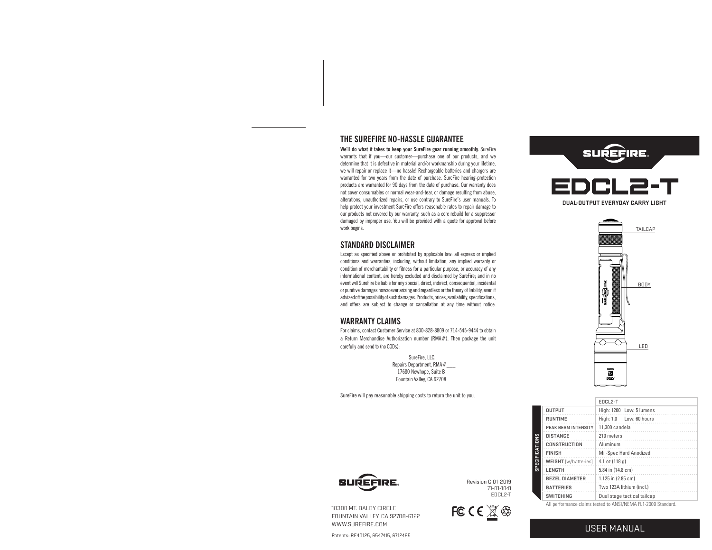# **THE SUREFIRE NO-HASSLE GUARANTEE**

**We'll do what it takes to keep your SureFire gear running smoothly.** SureFire warrants that if you—our customer—purchase one of our products, and we determine that it is defective in material and/or workmanship during your lifetime, we will repair or replace it—no hassle! Rechargeable batteries and chargers are warranted for two years from the date of purchase. SureFire hearing-protection products are warranted for 90 days from the date of purchase. Our warranty does not cover consumables or normal wear-and-tear, or damage resulting from abuse, alterations, unauthorized repairs, or use contrary to SureFire's user manuals. To help protect your investment SureFire offers reasonable rates to repair damage to our products not covered by our warranty, such as a core rebuild for a suppressor damaged by improper use. You will be provided with a quote for approval before work begins.

#### **STANDARD DISCLAIMER**

Except as specified above or prohibited by applicable law: all express or implied conditions and warranties, including, without limitation, any implied warranty or condition of merchantability or fitness for a particular purpose, or accuracy of any informational content, are hereby excluded and disclaimed by SureFire; and in no event will SureFire be liable for any special, direct, indirect, consequential, incidental or punitive damages howsoever arising and regardless or the theory of liability, even if advised of the possibility of such damages. Products, prices, availability, specifications, and offers are subject to change or cancellation at any time without notice.

#### **WARRANTY CLAIMS**

For claims, contact Customer Service at 800-828-8809 or 714-545-9444 to obtain a Return Merchandise Authorization number (RMA#). Then package the unit carefully and send to (no CODs):

 SureFire, LLC. Repairs Department, RMA#\_\_\_ 17680 Newhope, Suite B Fountain Valley, CA 92708

SureFire will pay reasonable shipping costs to return the unit to you.





|                            | EDCL <sub>2-T</sub>                                          |
|----------------------------|--------------------------------------------------------------|
| <b>OUTPUT</b>              | High: 1200 Low: 5 lumens                                     |
| <b>RUNTIME</b>             | High: 1.0 Low: 60 hours                                      |
| <b>PEAK BEAM INTENSITY</b> | 11.300 candela                                               |
| <b>DISTANCE</b>            | 210 meters                                                   |
| <b>CONSTRUCTION</b>        | Aluminum                                                     |
| <b>FINISH</b>              | Mil-Spec Hard Anodized                                       |
| WEIGHT [w/batteries]       | 4.1 oz (118 g)                                               |
| LENGTH                     | 5.84 in (14.8 cm)                                            |
| <b>BEZEL DIAMETER</b>      | 1.125 in (2.85 cm)                                           |
| <b>BATTERIES</b>           | Two 123A lithium (incl.)                                     |
| <b>SWITCHING</b>           | Dual stage tactical tailcap                                  |
|                            | All performance claims tested to ANSI/NEMA EL1 2000 Standard |





18300 MT. BALDY CIRCLE FOUNTAIN VALLEY, CA 92708-6122 WWW.SUREFIRE.COM

Patents: RE40125, 6547415, 6712485



FC C  $\left( \frac{\mathbb{R}}{2} \right)$ 

USER MANUAL